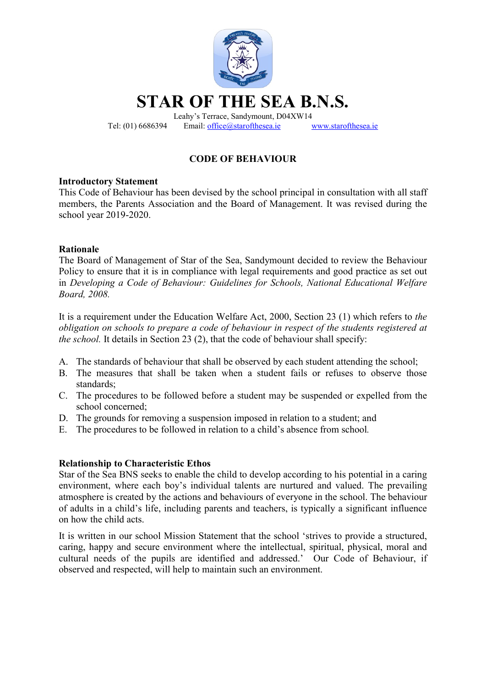

Tel: (01) 6686394 Email: office@starofthesea.ie www.starofthesea.ie

# CODE OF BEHAVIOUR

### Introductory Statement

This Code of Behaviour has been devised by the school principal in consultation with all staff members, the Parents Association and the Board of Management. It was revised during the school year 2019-2020.

### Rationale

The Board of Management of Star of the Sea, Sandymount decided to review the Behaviour Policy to ensure that it is in compliance with legal requirements and good practice as set out in Developing a Code of Behaviour: Guidelines for Schools, National Educational Welfare Board, 2008.

It is a requirement under the Education Welfare Act, 2000, Section 23 (1) which refers to the obligation on schools to prepare a code of behaviour in respect of the students registered at the school. It details in Section 23 (2), that the code of behaviour shall specify:

- A. The standards of behaviour that shall be observed by each student attending the school;
- B. The measures that shall be taken when a student fails or refuses to observe those standards;
- C. The procedures to be followed before a student may be suspended or expelled from the school concerned;
- D. The grounds for removing a suspension imposed in relation to a student; and
- E. The procedures to be followed in relation to a child's absence from school.

# Relationship to Characteristic Ethos

Star of the Sea BNS seeks to enable the child to develop according to his potential in a caring environment, where each boy's individual talents are nurtured and valued. The prevailing atmosphere is created by the actions and behaviours of everyone in the school. The behaviour of adults in a child's life, including parents and teachers, is typically a significant influence on how the child acts.

It is written in our school Mission Statement that the school 'strives to provide a structured, caring, happy and secure environment where the intellectual, spiritual, physical, moral and cultural needs of the pupils are identified and addressed.' Our Code of Behaviour, if observed and respected, will help to maintain such an environment.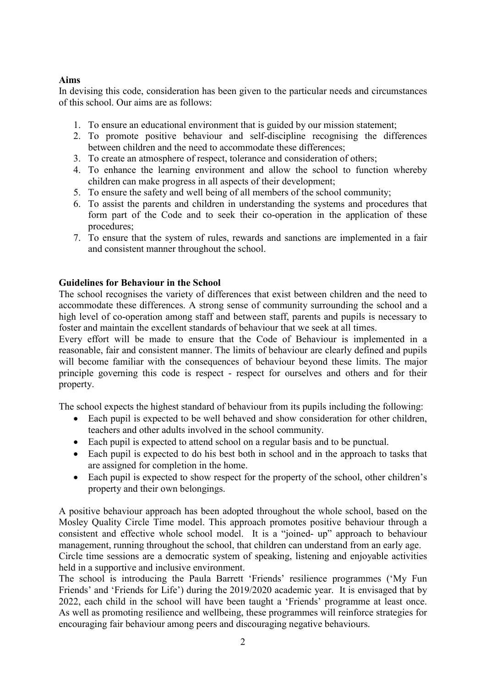# Aims

In devising this code, consideration has been given to the particular needs and circumstances of this school. Our aims are as follows:

- 1. To ensure an educational environment that is guided by our mission statement;
- 2. To promote positive behaviour and self-discipline recognising the differences between children and the need to accommodate these differences;
- 3. To create an atmosphere of respect, tolerance and consideration of others;
- 4. To enhance the learning environment and allow the school to function whereby children can make progress in all aspects of their development;
- 5. To ensure the safety and well being of all members of the school community;
- 6. To assist the parents and children in understanding the systems and procedures that form part of the Code and to seek their co-operation in the application of these procedures;
- 7. To ensure that the system of rules, rewards and sanctions are implemented in a fair and consistent manner throughout the school.

### Guidelines for Behaviour in the School

The school recognises the variety of differences that exist between children and the need to accommodate these differences. A strong sense of community surrounding the school and a high level of co-operation among staff and between staff, parents and pupils is necessary to foster and maintain the excellent standards of behaviour that we seek at all times.

Every effort will be made to ensure that the Code of Behaviour is implemented in a reasonable, fair and consistent manner. The limits of behaviour are clearly defined and pupils will become familiar with the consequences of behaviour beyond these limits. The major principle governing this code is respect - respect for ourselves and others and for their property.

The school expects the highest standard of behaviour from its pupils including the following:

- Each pupil is expected to be well behaved and show consideration for other children, teachers and other adults involved in the school community.
- Each pupil is expected to attend school on a regular basis and to be punctual.
- Each pupil is expected to do his best both in school and in the approach to tasks that are assigned for completion in the home.
- Each pupil is expected to show respect for the property of the school, other children's property and their own belongings.

A positive behaviour approach has been adopted throughout the whole school, based on the Mosley Quality Circle Time model. This approach promotes positive behaviour through a consistent and effective whole school model. It is a "joined- up" approach to behaviour management, running throughout the school, that children can understand from an early age. Circle time sessions are a democratic system of speaking, listening and enjoyable activities

held in a supportive and inclusive environment. The school is introducing the Paula Barrett 'Friends' resilience programmes ('My Fun

Friends' and 'Friends for Life') during the 2019/2020 academic year. It is envisaged that by 2022, each child in the school will have been taught a 'Friends' programme at least once. As well as promoting resilience and wellbeing, these programmes will reinforce strategies for encouraging fair behaviour among peers and discouraging negative behaviours.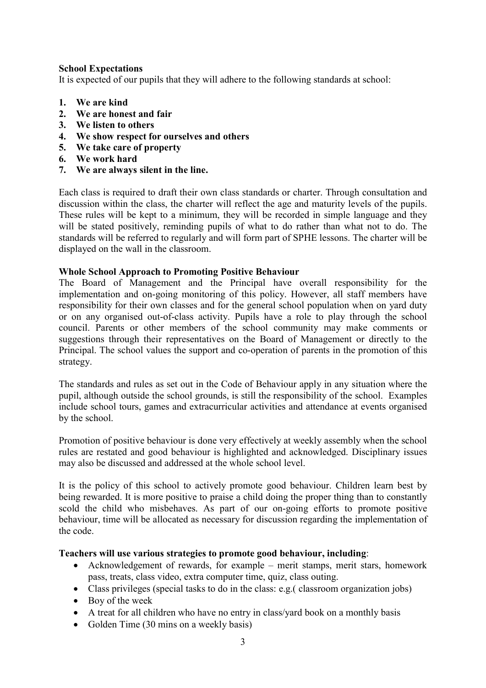### School Expectations

It is expected of our pupils that they will adhere to the following standards at school:

- 1. We are kind
- 2. We are honest and fair
- 3. We listen to others
- 4. We show respect for ourselves and others
- 5. We take care of property
- 6. We work hard
- 7. We are always silent in the line.

Each class is required to draft their own class standards or charter. Through consultation and discussion within the class, the charter will reflect the age and maturity levels of the pupils. These rules will be kept to a minimum, they will be recorded in simple language and they will be stated positively, reminding pupils of what to do rather than what not to do. The standards will be referred to regularly and will form part of SPHE lessons. The charter will be displayed on the wall in the classroom.

### Whole School Approach to Promoting Positive Behaviour

The Board of Management and the Principal have overall responsibility for the implementation and on-going monitoring of this policy. However, all staff members have responsibility for their own classes and for the general school population when on yard duty or on any organised out-of-class activity. Pupils have a role to play through the school council. Parents or other members of the school community may make comments or suggestions through their representatives on the Board of Management or directly to the Principal. The school values the support and co-operation of parents in the promotion of this strategy.

The standards and rules as set out in the Code of Behaviour apply in any situation where the pupil, although outside the school grounds, is still the responsibility of the school. Examples include school tours, games and extracurricular activities and attendance at events organised by the school.

Promotion of positive behaviour is done very effectively at weekly assembly when the school rules are restated and good behaviour is highlighted and acknowledged. Disciplinary issues may also be discussed and addressed at the whole school level.

It is the policy of this school to actively promote good behaviour. Children learn best by being rewarded. It is more positive to praise a child doing the proper thing than to constantly scold the child who misbehaves. As part of our on-going efforts to promote positive behaviour, time will be allocated as necessary for discussion regarding the implementation of the code.

# Teachers will use various strategies to promote good behaviour, including:

- Acknowledgement of rewards, for example merit stamps, merit stars, homework pass, treats, class video, extra computer time, quiz, class outing.
- Class privileges (special tasks to do in the class: e.g.( classroom organization jobs)
- Boy of the week
- A treat for all children who have no entry in class/yard book on a monthly basis
- Golden Time (30 mins on a weekly basis)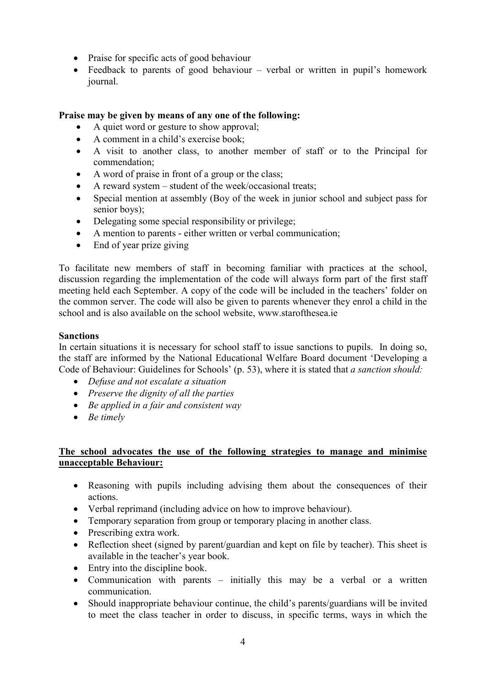- Praise for specific acts of good behaviour
- Feedback to parents of good behaviour verbal or written in pupil's homework journal.

# Praise may be given by means of any one of the following:

- A quiet word or gesture to show approval;
- A comment in a child's exercise book;
- A visit to another class, to another member of staff or to the Principal for commendation;
- A word of praise in front of a group or the class;
- A reward system student of the week/occasional treats;
- Special mention at assembly (Boy of the week in junior school and subject pass for senior boys);
- Delegating some special responsibility or privilege;
- A mention to parents either written or verbal communication;
- End of year prize giving

To facilitate new members of staff in becoming familiar with practices at the school, discussion regarding the implementation of the code will always form part of the first staff meeting held each September. A copy of the code will be included in the teachers' folder on the common server. The code will also be given to parents whenever they enrol a child in the school and is also available on the school website, www.starofthesea.ie

# Sanctions

In certain situations it is necessary for school staff to issue sanctions to pupils. In doing so, the staff are informed by the National Educational Welfare Board document 'Developing a Code of Behaviour: Guidelines for Schools' (p. 53), where it is stated that a sanction should:

- Defuse and not escalate a situation
- $\bullet$  Preserve the dignity of all the parties
- $\bullet$  Be applied in a fair and consistent way
- $\bullet$  Be timely

# The school advocates the use of the following strategies to manage and minimise unacceptable Behaviour:

- Reasoning with pupils including advising them about the consequences of their actions.
- Verbal reprimand (including advice on how to improve behaviour).
- Temporary separation from group or temporary placing in another class.
- Prescribing extra work.
- Reflection sheet (signed by parent/guardian and kept on file by teacher). This sheet is available in the teacher's year book.
- Entry into the discipline book.
- Communication with parents initially this may be a verbal or a written communication.
- Should inappropriate behaviour continue, the child's parents/guardians will be invited to meet the class teacher in order to discuss, in specific terms, ways in which the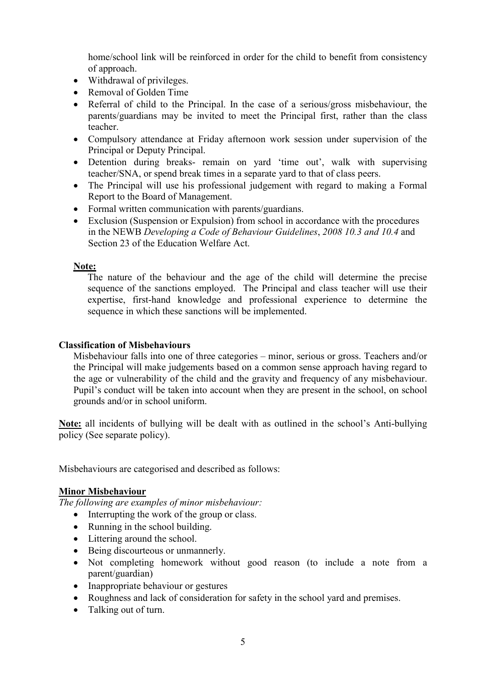home/school link will be reinforced in order for the child to benefit from consistency of approach.

- Withdrawal of privileges.
- Removal of Golden Time
- Referral of child to the Principal. In the case of a serious/gross misbehaviour, the parents/guardians may be invited to meet the Principal first, rather than the class teacher.
- Compulsory attendance at Friday afternoon work session under supervision of the Principal or Deputy Principal.
- Detention during breaks- remain on yard 'time out', walk with supervising teacher/SNA, or spend break times in a separate yard to that of class peers.
- The Principal will use his professional judgement with regard to making a Formal Report to the Board of Management.
- Formal written communication with parents/guardians.
- Exclusion (Suspension or Expulsion) from school in accordance with the procedures in the NEWB Developing a Code of Behaviour Guidelines, 2008 10.3 and 10.4 and Section 23 of the Education Welfare Act.

#### Note:

The nature of the behaviour and the age of the child will determine the precise sequence of the sanctions employed. The Principal and class teacher will use their expertise, first-hand knowledge and professional experience to determine the sequence in which these sanctions will be implemented.

#### Classification of Misbehaviours

Misbehaviour falls into one of three categories – minor, serious or gross. Teachers and/or the Principal will make judgements based on a common sense approach having regard to the age or vulnerability of the child and the gravity and frequency of any misbehaviour. Pupil's conduct will be taken into account when they are present in the school, on school grounds and/or in school uniform.

Note: all incidents of bullying will be dealt with as outlined in the school's Anti-bullying policy (See separate policy).

Misbehaviours are categorised and described as follows:

#### Minor Misbehaviour

The following are examples of minor misbehaviour:

- Interrupting the work of the group or class.
- Running in the school building.
- Littering around the school.
- Being discourteous or unmannerly.
- Not completing homework without good reason (to include a note from a parent/guardian)
- Inappropriate behaviour or gestures
- Roughness and lack of consideration for safety in the school yard and premises.
- Talking out of turn.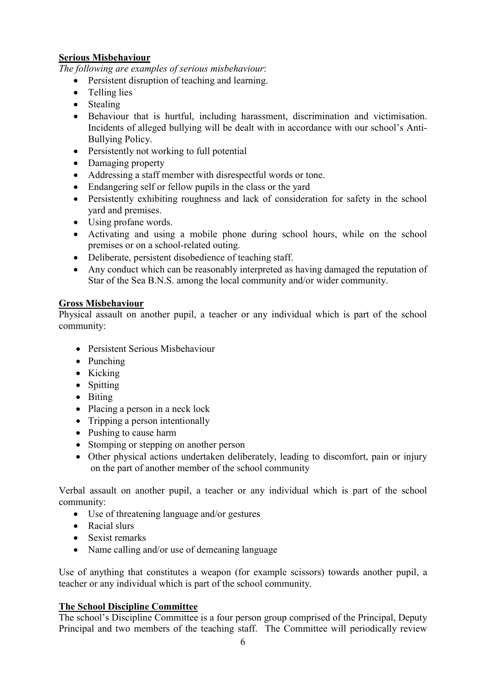# Serious Misbehaviour

The following are examples of serious misbehaviour:

- Persistent disruption of teaching and learning.
- Telling lies
- Stealing
- Behaviour that is hurtful, including harassment, discrimination and victimisation. Incidents of alleged bullying will be dealt with in accordance with our school's Anti-Bullying Policy.
- Persistently not working to full potential
- Damaging property
- Addressing a staff member with disrespectful words or tone.
- Endangering self or fellow pupils in the class or the yard
- Persistently exhibiting roughness and lack of consideration for safety in the school yard and premises.
- Using profane words.
- Activating and using a mobile phone during school hours, while on the school premises or on a school-related outing.
- Deliberate, persistent disobedience of teaching staff.
- Any conduct which can be reasonably interpreted as having damaged the reputation of Star of the Sea B.N.S. among the local community and/or wider community.

# Gross Misbehaviour

Physical assault on another pupil, a teacher or any individual which is part of the school community:

- Persistent Serious Misbehaviour
- Punching
- Kicking
- Spitting
- Biting
- Placing a person in a neck lock
- Tripping a person intentionally
- Pushing to cause harm
- Stomping or stepping on another person
- Other physical actions undertaken deliberately, leading to discomfort, pain or injury on the part of another member of the school community

Verbal assault on another pupil, a teacher or any individual which is part of the school community:

- Use of threatening language and/or gestures
- Racial slurs
- Sexist remarks
- Name calling and/or use of demeaning language

Use of anything that constitutes a weapon (for example scissors) towards another pupil, a teacher or any individual which is part of the school community.

# The School Discipline Committee

The school's Discipline Committee is a four person group comprised of the Principal, Deputy Principal and two members of the teaching staff. The Committee will periodically review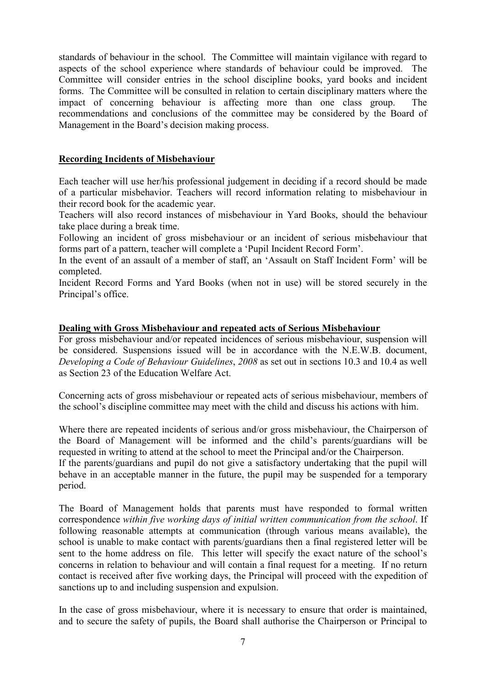standards of behaviour in the school. The Committee will maintain vigilance with regard to aspects of the school experience where standards of behaviour could be improved. The Committee will consider entries in the school discipline books, yard books and incident forms. The Committee will be consulted in relation to certain disciplinary matters where the impact of concerning behaviour is affecting more than one class group. The recommendations and conclusions of the committee may be considered by the Board of Management in the Board's decision making process.

### Recording Incidents of Misbehaviour

Each teacher will use her/his professional judgement in deciding if a record should be made of a particular misbehavior. Teachers will record information relating to misbehaviour in their record book for the academic year.

Teachers will also record instances of misbehaviour in Yard Books, should the behaviour take place during a break time.

Following an incident of gross misbehaviour or an incident of serious misbehaviour that forms part of a pattern, teacher will complete a 'Pupil Incident Record Form'.

In the event of an assault of a member of staff, an 'Assault on Staff Incident Form' will be completed.

Incident Record Forms and Yard Books (when not in use) will be stored securely in the Principal's office.

### Dealing with Gross Misbehaviour and repeated acts of Serious Misbehaviour

For gross misbehaviour and/or repeated incidences of serious misbehaviour, suspension will be considered. Suspensions issued will be in accordance with the N.E.W.B. document, Developing a Code of Behaviour Guidelines, 2008 as set out in sections 10.3 and 10.4 as well as Section 23 of the Education Welfare Act.

Concerning acts of gross misbehaviour or repeated acts of serious misbehaviour, members of the school's discipline committee may meet with the child and discuss his actions with him.

Where there are repeated incidents of serious and/or gross misbehaviour, the Chairperson of the Board of Management will be informed and the child's parents/guardians will be requested in writing to attend at the school to meet the Principal and/or the Chairperson.

If the parents/guardians and pupil do not give a satisfactory undertaking that the pupil will behave in an acceptable manner in the future, the pupil may be suspended for a temporary period.

The Board of Management holds that parents must have responded to formal written correspondence within five working days of initial written communication from the school. If following reasonable attempts at communication (through various means available), the school is unable to make contact with parents/guardians then a final registered letter will be sent to the home address on file. This letter will specify the exact nature of the school's concerns in relation to behaviour and will contain a final request for a meeting. If no return contact is received after five working days, the Principal will proceed with the expedition of sanctions up to and including suspension and expulsion.

In the case of gross misbehaviour, where it is necessary to ensure that order is maintained, and to secure the safety of pupils, the Board shall authorise the Chairperson or Principal to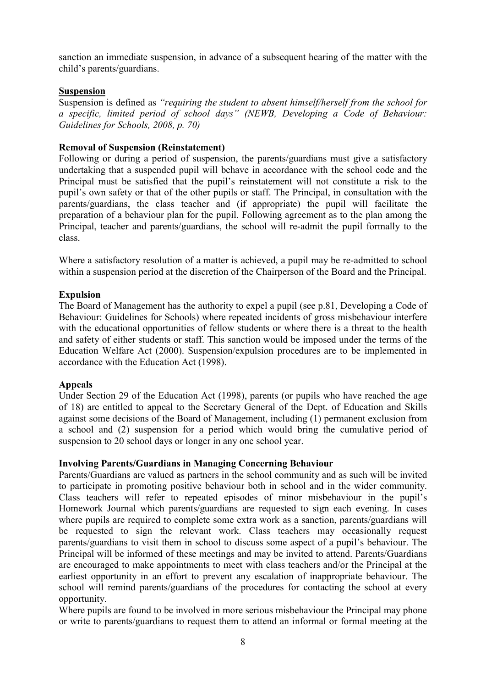sanction an immediate suspension, in advance of a subsequent hearing of the matter with the child's parents/guardians.

#### **Suspension**

Suspension is defined as "requiring the student to absent himself/herself from the school for a specific, limited period of school days" (NEWB, Developing a Code of Behaviour: Guidelines for Schools, 2008, p. 70)

#### Removal of Suspension (Reinstatement)

Following or during a period of suspension, the parents/guardians must give a satisfactory undertaking that a suspended pupil will behave in accordance with the school code and the Principal must be satisfied that the pupil's reinstatement will not constitute a risk to the pupil's own safety or that of the other pupils or staff. The Principal, in consultation with the parents/guardians, the class teacher and (if appropriate) the pupil will facilitate the preparation of a behaviour plan for the pupil. Following agreement as to the plan among the Principal, teacher and parents/guardians, the school will re-admit the pupil formally to the class.

Where a satisfactory resolution of a matter is achieved, a pupil may be re-admitted to school within a suspension period at the discretion of the Chairperson of the Board and the Principal.

#### Expulsion

The Board of Management has the authority to expel a pupil (see p.81, Developing a Code of Behaviour: Guidelines for Schools) where repeated incidents of gross misbehaviour interfere with the educational opportunities of fellow students or where there is a threat to the health and safety of either students or staff. This sanction would be imposed under the terms of the Education Welfare Act (2000). Suspension/expulsion procedures are to be implemented in accordance with the Education Act (1998).

#### Appeals

Under Section 29 of the Education Act (1998), parents (or pupils who have reached the age of 18) are entitled to appeal to the Secretary General of the Dept. of Education and Skills against some decisions of the Board of Management, including (1) permanent exclusion from a school and (2) suspension for a period which would bring the cumulative period of suspension to 20 school days or longer in any one school year.

#### Involving Parents/Guardians in Managing Concerning Behaviour

Parents/Guardians are valued as partners in the school community and as such will be invited to participate in promoting positive behaviour both in school and in the wider community. Class teachers will refer to repeated episodes of minor misbehaviour in the pupil's Homework Journal which parents/guardians are requested to sign each evening. In cases where pupils are required to complete some extra work as a sanction, parents/guardians will be requested to sign the relevant work. Class teachers may occasionally request parents/guardians to visit them in school to discuss some aspect of a pupil's behaviour. The Principal will be informed of these meetings and may be invited to attend. Parents/Guardians are encouraged to make appointments to meet with class teachers and/or the Principal at the earliest opportunity in an effort to prevent any escalation of inappropriate behaviour. The school will remind parents/guardians of the procedures for contacting the school at every opportunity.

Where pupils are found to be involved in more serious misbehaviour the Principal may phone or write to parents/guardians to request them to attend an informal or formal meeting at the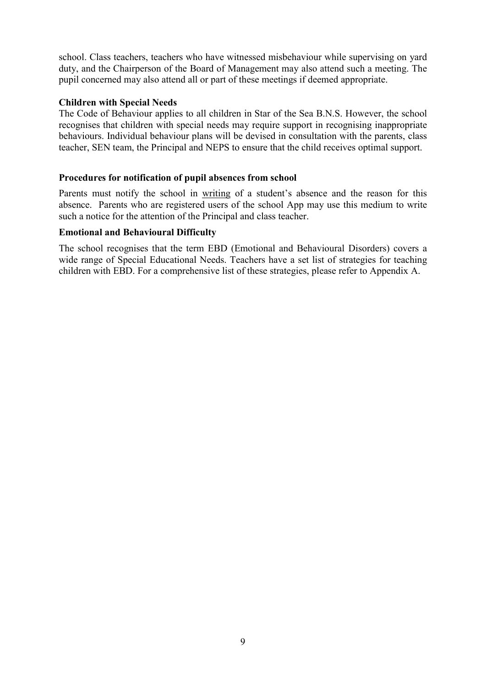school. Class teachers, teachers who have witnessed misbehaviour while supervising on yard duty, and the Chairperson of the Board of Management may also attend such a meeting. The pupil concerned may also attend all or part of these meetings if deemed appropriate.

#### Children with Special Needs

The Code of Behaviour applies to all children in Star of the Sea B.N.S. However, the school recognises that children with special needs may require support in recognising inappropriate behaviours. Individual behaviour plans will be devised in consultation with the parents, class teacher, SEN team, the Principal and NEPS to ensure that the child receives optimal support.

### Procedures for notification of pupil absences from school

Parents must notify the school in writing of a student's absence and the reason for this absence. Parents who are registered users of the school App may use this medium to write such a notice for the attention of the Principal and class teacher.

### Emotional and Behavioural Difficulty

The school recognises that the term EBD (Emotional and Behavioural Disorders) covers a wide range of Special Educational Needs. Teachers have a set list of strategies for teaching children with EBD. For a comprehensive list of these strategies, please refer to Appendix A.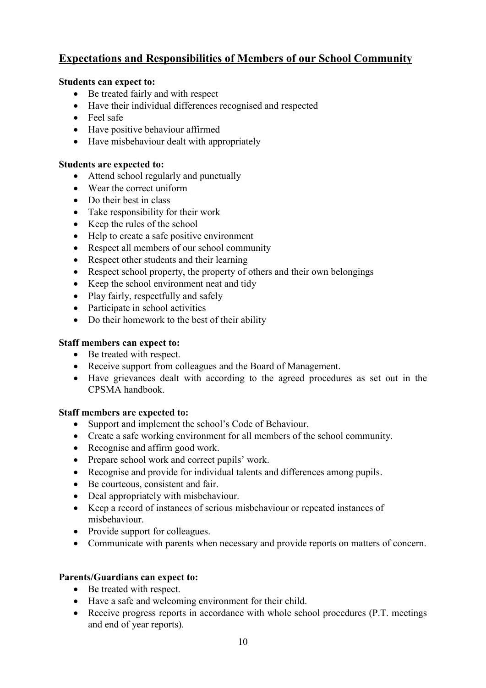# Expectations and Responsibilities of Members of our School Community

# Students can expect to:

- Be treated fairly and with respect
- Have their individual differences recognised and respected
- Feel safe
- Have positive behaviour affirmed
- Have misbehaviour dealt with appropriately

# Students are expected to:

- Attend school regularly and punctually
- Wear the correct uniform
- Do their best in class
- Take responsibility for their work
- Keep the rules of the school
- Help to create a safe positive environment
- Respect all members of our school community
- Respect other students and their learning
- Respect school property, the property of others and their own belongings
- Keep the school environment neat and tidy
- Play fairly, respectfully and safely
- Participate in school activities
- Do their homework to the best of their ability

# Staff members can expect to:

- Be treated with respect.
- Receive support from colleagues and the Board of Management.
- Have grievances dealt with according to the agreed procedures as set out in the CPSMA handbook.

# Staff members are expected to:

- Support and implement the school's Code of Behaviour.
- Create a safe working environment for all members of the school community.
- Recognise and affirm good work.
- Prepare school work and correct pupils' work.
- Recognise and provide for individual talents and differences among pupils.
- Be courteous, consistent and fair.
- Deal appropriately with misbehaviour.
- Keep a record of instances of serious misbehaviour or repeated instances of misbehaviour.
- Provide support for colleagues.
- Communicate with parents when necessary and provide reports on matters of concern.

# Parents/Guardians can expect to:

- Be treated with respect.
- Have a safe and welcoming environment for their child.
- Receive progress reports in accordance with whole school procedures (P.T. meetings) and end of year reports).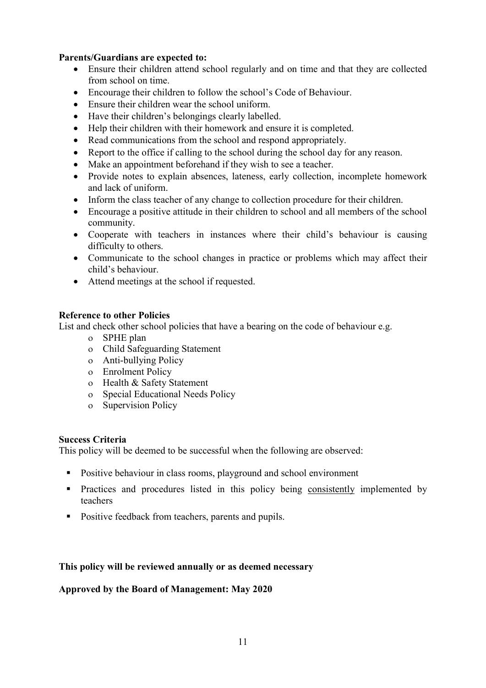# Parents/Guardians are expected to:

- Ensure their children attend school regularly and on time and that they are collected from school on time.
- Encourage their children to follow the school's Code of Behaviour.
- Ensure their children wear the school uniform.
- Have their children's belongings clearly labelled.
- Help their children with their homework and ensure it is completed.
- Read communications from the school and respond appropriately.
- Report to the office if calling to the school during the school day for any reason.
- Make an appointment beforehand if they wish to see a teacher.
- Provide notes to explain absences, lateness, early collection, incomplete homework and lack of uniform.
- Inform the class teacher of any change to collection procedure for their children.
- Encourage a positive attitude in their children to school and all members of the school community.
- Cooperate with teachers in instances where their child's behaviour is causing difficulty to others.
- Communicate to the school changes in practice or problems which may affect their child's behaviour.
- Attend meetings at the school if requested.

# Reference to other Policies

List and check other school policies that have a bearing on the code of behaviour e.g.

- SPHE plan
- Child Safeguarding Statement
- Anti-bullying Policy
- Enrolment Policy
- Health & Safety Statement
- o Special Educational Needs Policy
- o Supervision Policy

# Success Criteria

This policy will be deemed to be successful when the following are observed:

- Positive behaviour in class rooms, playground and school environment
- **Practices and procedures listed in this policy being consistently implemented by** teachers
- **Positive feedback from teachers, parents and pupils.**

# This policy will be reviewed annually or as deemed necessary

#### Approved by the Board of Management: May 2020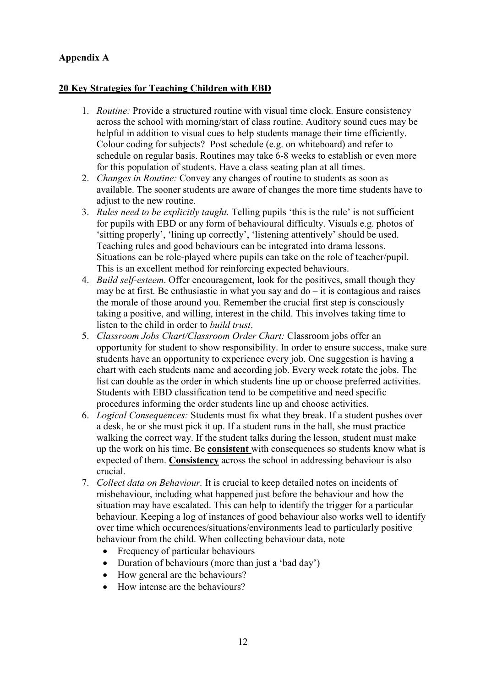# Appendix A

# 20 Key Strategies for Teaching Children with EBD

- 1. Routine: Provide a structured routine with visual time clock. Ensure consistency across the school with morning/start of class routine. Auditory sound cues may be helpful in addition to visual cues to help students manage their time efficiently. Colour coding for subjects? Post schedule (e.g. on whiteboard) and refer to schedule on regular basis. Routines may take 6-8 weeks to establish or even more for this population of students. Have a class seating plan at all times.
- 2. *Changes in Routine:* Convey any changes of routine to students as soon as available. The sooner students are aware of changes the more time students have to adjust to the new routine.
- 3. Rules need to be explicitly taught. Telling pupils 'this is the rule' is not sufficient for pupils with EBD or any form of behavioural difficulty. Visuals e.g. photos of 'sitting properly', 'lining up correctly', 'listening attentively' should be used. Teaching rules and good behaviours can be integrated into drama lessons. Situations can be role-played where pupils can take on the role of teacher/pupil. This is an excellent method for reinforcing expected behaviours.
- 4. Build self-esteem. Offer encouragement, look for the positives, small though they may be at first. Be enthusiastic in what you say and  $d\sigma - i\tau$  is contagious and raises the morale of those around you. Remember the crucial first step is consciously taking a positive, and willing, interest in the child. This involves taking time to listen to the child in order to build trust.
- 5. Classroom Jobs Chart/Classroom Order Chart: Classroom jobs offer an opportunity for student to show responsibility. In order to ensure success, make sure students have an opportunity to experience every job. One suggestion is having a chart with each students name and according job. Every week rotate the jobs. The list can double as the order in which students line up or choose preferred activities. Students with EBD classification tend to be competitive and need specific procedures informing the order students line up and choose activities.
- 6. Logical Consequences: Students must fix what they break. If a student pushes over a desk, he or she must pick it up. If a student runs in the hall, she must practice walking the correct way. If the student talks during the lesson, student must make up the work on his time. Be consistent with consequences so students know what is expected of them. Consistency across the school in addressing behaviour is also crucial.
- 7. Collect data on Behaviour. It is crucial to keep detailed notes on incidents of misbehaviour, including what happened just before the behaviour and how the situation may have escalated. This can help to identify the trigger for a particular behaviour. Keeping a log of instances of good behaviour also works well to identify over time which occurences/situations/environments lead to particularly positive behaviour from the child. When collecting behaviour data, note
	- Frequency of particular behaviours
	- Duration of behaviours (more than just a 'bad day')
	- How general are the behaviours?
	- How intense are the behaviours?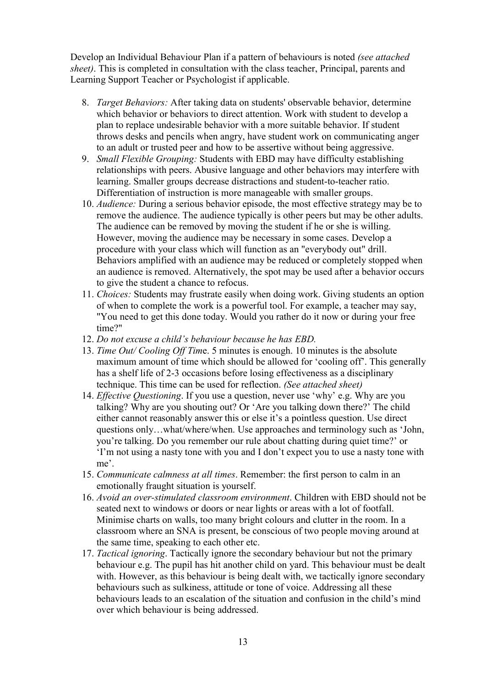Develop an Individual Behaviour Plan if a pattern of behaviours is noted *(see attached* sheet). This is completed in consultation with the class teacher, Principal, parents and Learning Support Teacher or Psychologist if applicable.

- 8. Target Behaviors: After taking data on students' observable behavior, determine which behavior or behaviors to direct attention. Work with student to develop a plan to replace undesirable behavior with a more suitable behavior. If student throws desks and pencils when angry, have student work on communicating anger to an adult or trusted peer and how to be assertive without being aggressive.
- 9. Small Flexible Grouping: Students with EBD may have difficulty establishing relationships with peers. Abusive language and other behaviors may interfere with learning. Smaller groups decrease distractions and student-to-teacher ratio. Differentiation of instruction is more manageable with smaller groups.
- 10. Audience: During a serious behavior episode, the most effective strategy may be to remove the audience. The audience typically is other peers but may be other adults. The audience can be removed by moving the student if he or she is willing. However, moving the audience may be necessary in some cases. Develop a procedure with your class which will function as an "everybody out" drill. Behaviors amplified with an audience may be reduced or completely stopped when an audience is removed. Alternatively, the spot may be used after a behavior occurs to give the student a chance to refocus.
- 11. Choices: Students may frustrate easily when doing work. Giving students an option of when to complete the work is a powerful tool. For example, a teacher may say, "You need to get this done today. Would you rather do it now or during your free time?"
- 12. Do not excuse a child's behaviour because he has EBD.
- 13. Time Out/ Cooling Off Time. 5 minutes is enough. 10 minutes is the absolute maximum amount of time which should be allowed for 'cooling off'. This generally has a shelf life of 2-3 occasions before losing effectiveness as a disciplinary technique. This time can be used for reflection. (See attached sheet)
- 14. Effective Questioning. If you use a question, never use 'why' e.g. Why are you talking? Why are you shouting out? Or 'Are you talking down there?' The child either cannot reasonably answer this or else it's a pointless question. Use direct questions only…what/where/when. Use approaches and terminology such as 'John, you're talking. Do you remember our rule about chatting during quiet time?' or 'I'm not using a nasty tone with you and I don't expect you to use a nasty tone with me'.
- 15. Communicate calmness at all times. Remember: the first person to calm in an emotionally fraught situation is yourself.
- 16. Avoid an over-stimulated classroom environment. Children with EBD should not be seated next to windows or doors or near lights or areas with a lot of footfall. Minimise charts on walls, too many bright colours and clutter in the room. In a classroom where an SNA is present, be conscious of two people moving around at the same time, speaking to each other etc.
- 17. Tactical ignoring. Tactically ignore the secondary behaviour but not the primary behaviour e.g. The pupil has hit another child on yard. This behaviour must be dealt with. However, as this behaviour is being dealt with, we tactically ignore secondary behaviours such as sulkiness, attitude or tone of voice. Addressing all these behaviours leads to an escalation of the situation and confusion in the child's mind over which behaviour is being addressed.